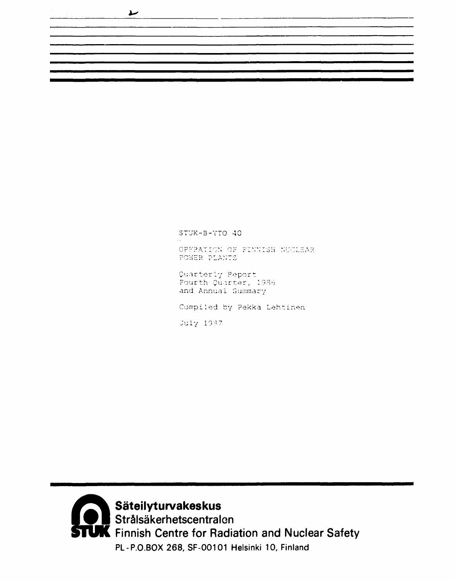**1\*>** 

STUK-3-YTO 40 OPFRATION OF FINNISH NUCLEAR POWER PLANTS Quarterly Report Fourth Quarter, 19Ro and Annual Summary Compiled by Pekka Lehtinen

July 1987



**Säteilyturvakeskus**  Strälsäkerhetscentralon Finnish Centre for Radiation and Nuclear Safety PL-P.O.BOX 268, SF-00101 Helsinki 10, Finland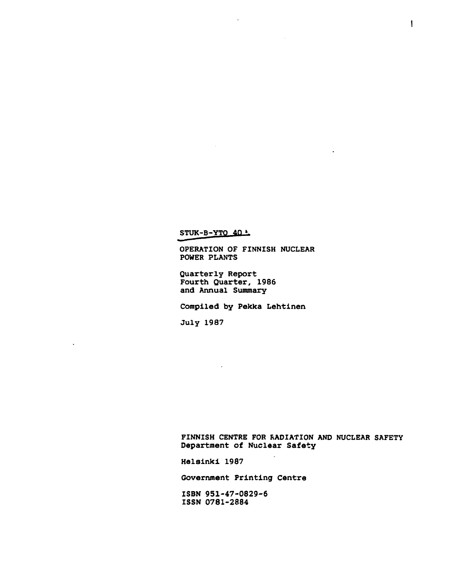STUK-B-YTO 40 -

**OPERATION OF FINNISH NUCLEAR POWER PLANTS** 

 $\overline{a}$ 

**Quarterly Report Fourth Quarter, 1986 and Annual Summary** 

 $\mathcal{L}_{\mathbf{r}}$ 

**Compiled by Pekka Lehtinen** 

**July 1987** 

**FINNISH CENTRE FOR RADIATION AND NUCLEAR SAFETY Department of Nuclear Safety** 

t,

**Helsinki 1987** 

**Government Printing Centre** 

**ISBN 951-47-0829-6 ISSN 0781-2884**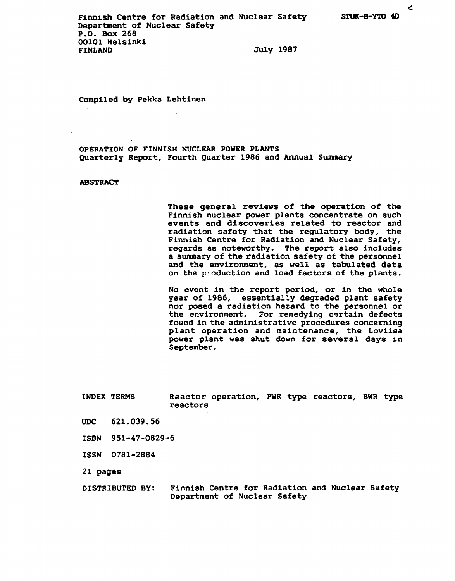Compiled by Pekka Lehtinen

OPERATION OF FINNISH NUCLEAR POWER PLANTS Quarterly Report, Fourth Quarter 1986 and Annual Summary

### **ABSTRACT**

These general reviews of the operation of the Finnish nuclear power plants concentrate on such events and discoveries related to reactor and radiation safety that the regulatory body, the Finnish Centre for Radiation and Nuclear Safety, regards as noteworthy. The report also includes a sununary of the radiation safety of the personnel and the environment, as well as tabulated data on the production and load factors of the plants.

No event in the report period, or in the whole year of 1986, essentially degraded plant safety nor posed a radiation hazard to the personnel or the environment. For remedying certain defects found in the administrative procedures concerning plant operation and maintenance, the Loviisa power plant was shut down for several days in September.

INDEX TERMS Reactor operation, PWR type reactors, BWR type reactors

- UDC 621.039.56
- ISBN 951-47-0829-6

ISSN 0781-2884

21 pages

DISTRIBUTED BY: Finnish Centre for Radiation and Nuclear Safety Department of Nuclear Safety

ट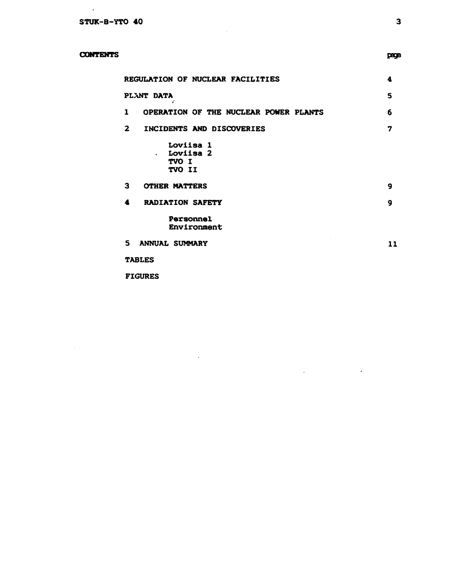**CONTENTS** 

 $\sim$ 

|              | REGULATION OF NUCLEAR FACILITIES<br>4                         |    |  |  |  |  |  |
|--------------|---------------------------------------------------------------|----|--|--|--|--|--|
|              | PLANT DATA<br>š                                               | 5  |  |  |  |  |  |
| 1            | OPERATION OF THE NUCLEAR POWER PLANTS                         | 6  |  |  |  |  |  |
| $\mathbf{2}$ | INCIDENTS AND DISCOVERIES                                     | 7  |  |  |  |  |  |
|              | Loviisa 1<br><b>Loviisa 2</b><br>$\bullet$<br>TVO I<br>TVO II |    |  |  |  |  |  |
| 3            | <b>OTHER MATTERS</b>                                          | 9  |  |  |  |  |  |
| 4            | <b>RADIATION SAFETY</b>                                       | 9  |  |  |  |  |  |
|              | Personnel<br>Environment                                      |    |  |  |  |  |  |
| 5.           | <b>ANNUAL SUMMARY</b>                                         | 11 |  |  |  |  |  |
|              | <b>TABLES</b>                                                 |    |  |  |  |  |  |

 $\mathcal{L}(\mathcal{L}(\mathcal{L}))$  and  $\mathcal{L}(\mathcal{L}(\mathcal{L}))$  and  $\mathcal{L}(\mathcal{L}(\mathcal{L}))$ 

 $\sim 10^7$ 

**FIGURES** 

 $\sim 10^{11}$  km  $^{-1}$ 

 $\sim 10^{-1}$ 

page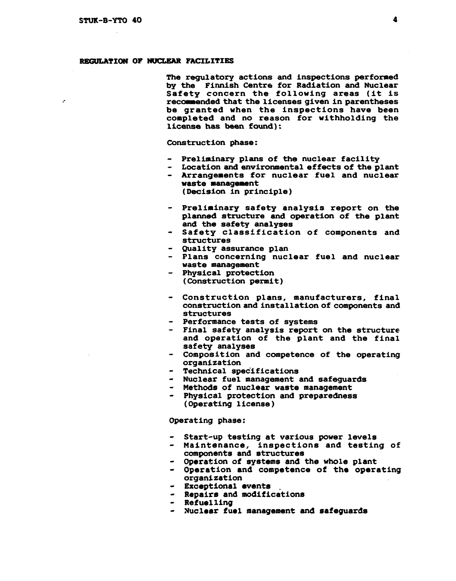ż

## **REGULATION OF NUCLEAR FACILITIES**

**The regulatory actions and inspections performed by the Finnish Centre for Radiation and Nuclear Safety concern the following areas (it is recommended that the licenses given in parentheses be granted when the inspections have been completed and no reason for withholding the license has been found):** 

**Construction phase:** 

- **Preliminary plans of the nuclear facility**
- **Location and environmental effects of the plant - Arrangements for nuclear fuel and nuclear waste management**

**(Decision in principle)** 

- **Preliminary safety analysis report on the planned structure and operation of the plant and the safety analyses**
- **Safety classification of components and structures**
- **Quality assurance plan**
- **Plans concerning nuclear fuel and nuclear waste management**
- **Physical protection (Construction permit)**
- **Construction plans, manufacturers, final construction and installation of components and structures**
- **Performance tests of systems**
- **Final safety analysis report on the structure and operation of the plant and the final safety analyses**
- **Composition and competence of the operating organization**
- **Technical specifications**
- **Nuclear fuel management and safeguards**
- **Methods of nuclear waste management**
- **Physical protection and preparedness (Operating license)**

**Operating phase:** 

- **Start-up testing at various power levels**
- **Maintenance, inspections and testing of components and structures**
- **Operation of systems and the whole plant**
- **Operation and competence of the operating organization**
- **Exceptional events**
- **Repairs and modifications**
- **Refuelling**
- **Nuclear fuel management and safeguards**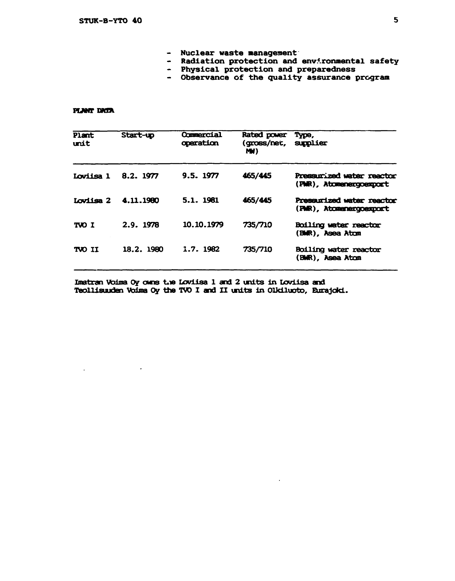- **Nuclear waste management**
- Radiation protection and environmental safety
- **Physical protection and preparedness**
- Observance of the quality assurance program

## **PUNT DMA**

 $\ddot{\phantom{a}}$ 

| Plant<br>unit | Start-up  | Commercial<br>operation | Rated power<br>(gross/net, supplier<br>M | Type,                                                |
|---------------|-----------|-------------------------|------------------------------------------|------------------------------------------------------|
| Loviisa 1     | 8.2. 1977 | 9.5.1977                | 465/445                                  | Pressurized water reactor<br>(PMR), Atomenergoexport |
| Loviisa 2     | 4.11.1980 | 5.1. 1981               | 465/445                                  | Pressurized water reactor<br>(PNR), Atomenergoexport |
| TVO I         | 2.9.1978  | 10.10.1979              | 735/710                                  | Boiling water reactor<br>(BWR), Asea Atom            |
| TVO II        | 18.2.1980 | 1.7. 1982               | 735/710                                  | Boiling water reactor<br>(BWR), Asea Atom            |

**Imatran Voima Oy owns toe Loviisa 1 and 2 units in Loviisa and Teollisuuden Voima Oy the TWO I and II units in Olkiluoto, Eurajoki.**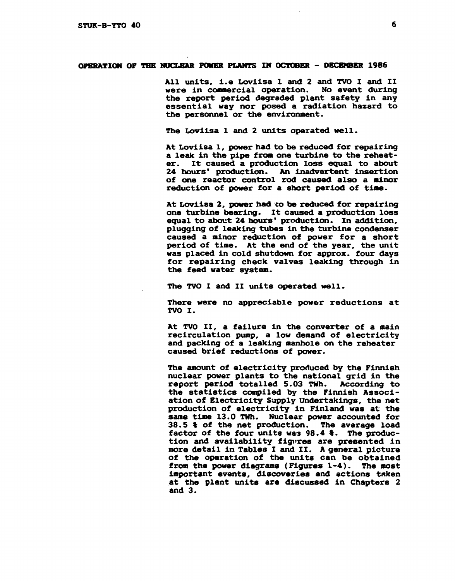### **OPERATION OF THE NUCLEAR POWER PLANTS IN OCTOBER - DECEMBER 1986**

**All units, i.e Loviisa 1 and 2 and TVO I and II were in commercial operation. No event during the report period degraded plant safety in any essential way nor posed a radiation hazard to the personnel or the environment.** 

**The Loviisa 1 and 2 units operated well.** 

**At Loviisa 1, power had to be reduced for repairing a leak in the pipe from one turbine to the reheater. It caused a production loss equal to about 24 hours' production. An inadvertent insertion of one reactor control rod caused also a minor reduction of power for a short period of time.** 

**At Loviisa 2, power had to be reduced for repairing one turbine bearing. It caused a production loss equal to about 24 hours' production. In addition, plugging of leaking tubes in the turbine condenser caused a minor reduction of power for a short period of time. At the end of the year, the unit was placed in cold shutdown for approx. four days for repairing check valves leaking through in the feed water system.** 

**The TVO I and II units operated well.** 

**There were no appreciable power reductions at TVO I.** 

**At TVO II, a failure in the converter of a main recirculation pump, a low demand of electricity and packing of a leaking manhole on the reheater caused brief reductions of power.** 

**The amount of electricity produced by the Finnish nuclear power plants to the national grid in the report period totalled 5.03 TWh. According to the statistics compiled by the Finnish Association of Electricity Supply Undertakings, the net production of electricity in Finland was at the same time 13.0 TWh. Nuclear power accounted for 38.5 % of the net production. The avarage load factor of the four units was 98.4 %. The production and availability figures are presented in more detail in Tables I and II. A general picture of the operation of the units can be obtained from the power diagrams (Figures 1-4). The most important events, discoveries and actions taken at the plant units are discussed in Chapters 2 and 3.**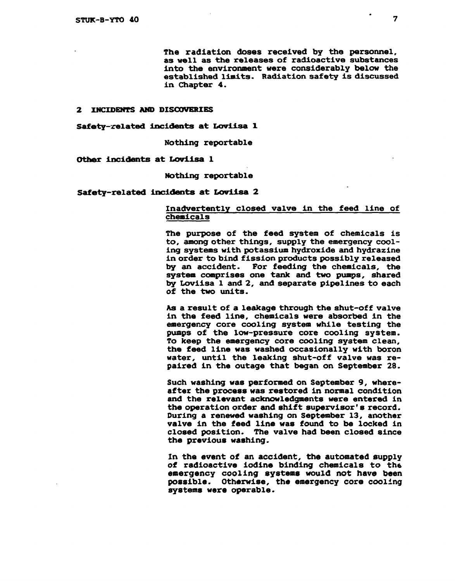**The radiation doses received by the personnel, as well as the releases of radioactive substances into the environment were considerably below the established limits. Radiation safety is discussed in Chapter 4.** 

#### **2 INCIDENTS AND DISCOVERIES**

**Safety-related incidents at Loviisa I** 

**Nothing reportable** 

**Other incidents at Loviisa 1** 

**Nothing reportable** 

**Safety-related incidents at Loviisa 2** 

# **Inadvertently closed valve in the feed line of chemicals**

**The purpose of the feed system of chemicals is to, among other things, supply the emergency cooling systems with potassium hydroxide and hydrazine in order to bind fission products possibly released by an accident. For feeding the chemicals, the system comprises one tank and two pumps, shared by Loviisa 1 and 2, and separate pipelines to each of the two units.** 

As a result of a leakage through the shut-off valve **in the feed line, chemicals were absorbed in the emergency core cooling system while testing the pumps of the low-pressure core cooling system. To keep the emergency core cooling system clean, the feed line was washed occasionally with boron water, until the leaking shut-off valve was repaired in the outage that began on September 28.** 

**Such washing was performed on September 9, whereafter the process was restored in normal condition and the relevant acknowledgments were entered in the operation order and shift supervisor's record. During a renewed washing on September 13, another valve in the feed line was found to be locked in closed position. The valve had been closed since the previous washing.** 

**In the event of an accident, the automated supply of radioactive iodine binding chemicals to the emergency cooling systems would not have been possible. Otherwise, the emergency core cooling systems were operable.**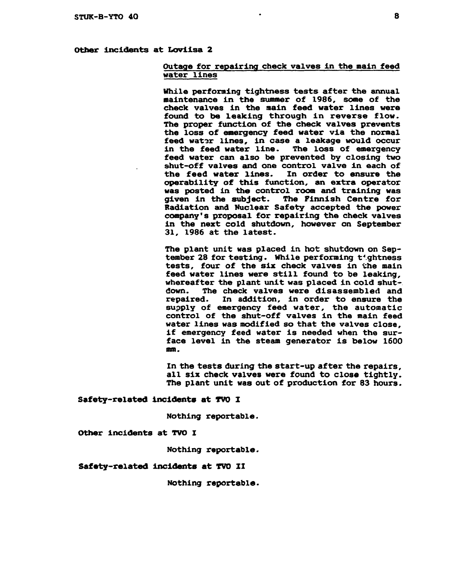# **Other incidents at Loviisa 2**

# **Outage for repairing check valves in the main feed water lines**

**While performing tightness tests after the annual naintenance in the summer of 1986, some of the check valves in the main feed water lines were found to be leaking through in reverse flow. The proper function of the check valves prevents the loss of emergency feed water via the normal feed wator lines, in case a leakage would occur in the feed water line. The loss of emergency feed water can also be prevented by closing two shut-off valves and one control valve in each of the feed water lines. In order to ensure the operability of this function, an extra operator was posted in the control room and training was given in the subject. The Finnish Centre for Radiation and Nuclear Safety accepted the power company's proposal for repairing the check valves in the next cold shutdown, however on September 31, 1986 at the latest.** 

**The plant unit was placed in hot shutdown on September 28 for testing. While performing tightness tests, four of the six check valves in the main feed water lines were still found to be leaking, whereafter the plant unit was placed in cold shutdown. The check valves were disassembled and repaired. In addition, in order to ensure the supply of emergency feed water, the automatic control of the shut-off valves in the main feed water lines was modified so that the valves close, if emergency feed water is needed when the surface level in the steam generator is below 1600 mm.** 

**In the tests during the start-up after the repairs, all six check valves were found to close tightly. The plant unit was out of production for 83 hours.** 

**Safety-related incidents at TVO I** 

**Nothing reportable.** 

**Other incidents at TVO I** 

**Nothing reportable.** 

### **Safety-related Incidents at TVO II**

**Nothing reportable.**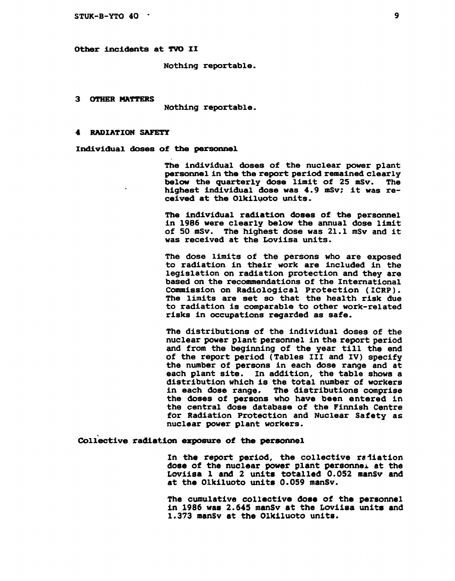#### **Other incidents at TVO II**

**Nothing reportable.** 

**3 OTHER MATTERS** 

**Nothing reportable.** 

### **4 RADIATION SAFETY**

**Individual doses of the personnel** 

**The individual doses of the nuclear power plant personnel in the the report period remained clearly below the quarterly dose limit of 25 mSv. The highest individual dose was 4.9 mSv; it was received at the Olkiluoto units.** 

**The individual radiation doses of the personnel in 1986 were clearly below the annual dose limit of 50 mSv. The highest dose was 21.1 mSv and it was received at the Loviisa units.** 

**The dose limits of the persons who are exposed to radiation in their work are included in the legislation on radiation protection and they are based on the recommendations of the International Commission on Radiological Protection (ICRP). The limits are set so that the health risk due to radiation is comparable to other work-related risks in occupations regarded as safe.** 

**The distributions of the individual doses of the nuclear power plant personnel in the report period and from the beginning of the year till the end of the report period (Tables III and IV) specify the number of persons in each dose range and at each plant site. In addition, the table shows a distribution which is the total number of workers in each dose range. The distributions comprise the doses of persons who have been entered in the central dose database of the Finnish Centre for Radiation Protection and Nuclear Safety as nuclear power plant workers.** 

### **Collective radiation exposure of the personnel**

In the report period, the collective radiation **dose of the nuclear power plant personnel at the Loviisa 1 and 2 units totalled 0.052 manSv and at the Olkiluoto units 0.059 manSv.** 

**The cumulative collective dose of the personnel in 1986 was 2.645 manSv at the Loviisa units and 1.373 manSv at the Olkiluoto units.**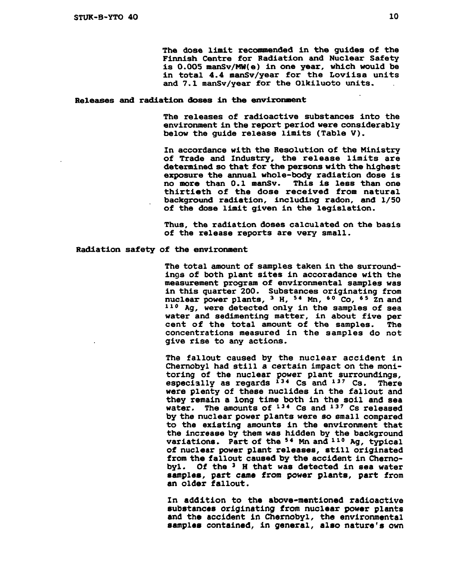**The dose limit recommended in the guides of the Finnish Centre for Radiation and Nuclear Safety is 0.005 manSv/MH(e) in one year, which would be in total 4.4 manSv/year for the Loviisa units and 7.1 manSv/year for the Olkiluoto units.** 

### **Releases and radiation doses in the environment**

**The releases of radioactive substances into the environment in the report period were considerably below the guide release limits (Table V).** 

**In accordance with the Resolution of the Ministry of Trade and Industry, the release limits are determined so that for the persons with the highest exposure the annual whole-body radiation dose is no more than 0.1 manSv. This is less than one thirtieth of the dose received from natural background radiation, including radon, and 1/50 of the dose limit given in the legislation.** 

**Thus, the radiation doses calculated on the basis of the release reports are very small.** 

### **Radiation safety of the environment**

**The total amount of samples taken in the surroundings of both plant sites in accoradance with the measurement program of environmental samples was in this quarter 200. Substances originating from nuclear power plants, <sup>3</sup> H, <sup>54</sup> Mn, \*° Co, <sup>6</sup> <sup>5</sup> Zn and 1 1 <sup>0</sup> Ag, were detected only in the samples of sea water and sedimenting matter, in about five per cent of the total amount of the samples. The concentrations measured in the samples do not give rise to any actions.** 

**The fallout caused by the nuclear accident in Chernobyl had still a certain impact on the monitoring of the nuclear power plant surroundings, especially as regards <sup>13</sup> <sup>4</sup> Cs and <sup>13</sup> <sup>7</sup> Cs. There were plenty of these nuclides in the fallout and they remain a long time both in the soil and sea water. The amounts of <sup>13</sup> <sup>4</sup> Cs and <sup>13</sup> <sup>7</sup> Cs released by the nuclear power plants were so small compared to the existing amounts in the environment that the increase by them was hidden by the background variations. Part of the <sup>5</sup> <sup>4</sup> Mn and <sup>11</sup> <sup>0</sup> Ag, typical of nuclear power plant releases, still originated from the fallout caused by the accident in Chernobyl. Of the <sup>3</sup> H that was detected in sea water samples, part came from power plants, part from an older fallout.** 

**In addition to the above-mentioned radioactive substances originating from nuclear power plants and the accident in Chernobyl, the environmental samples contained, in general, also nature's own**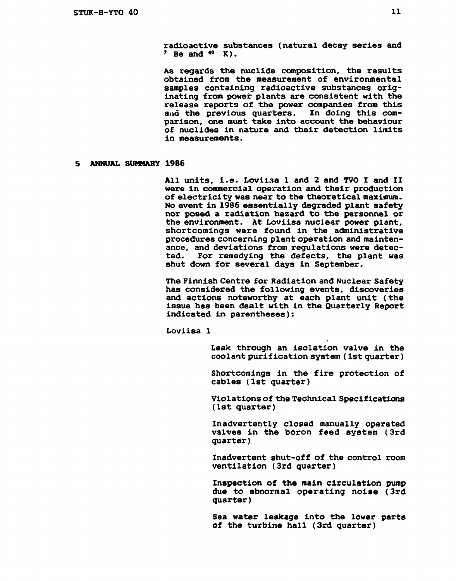**radioactive substances (natural decay series and <sup>7</sup> Be and <sup>40</sup> K).** 

**As regards the nuclide composition, the results obtained from the measurement of environmental samples containing radioactive substances originating from power plants are consistent with the release reports of the power companies from this**  and the previous quarters. In doing this com**parison, one must take into account the behaviour of nuclides in nature and their detection limits in measurements.** 

# **5 ANNUAL SUfMARY 1986**

**All units, i.e. Loviisa 1 and 2 and TVO I and II were in commercial operation and their production of electricity was near to the theoretical maximum. No event in 1986 essentially degraded plant safety nor posed a radiation hazard to the personnel or the environment. At Loviisa nuclear power plant, shortcomings were found in the administrative procedures concerning plant operation and maintenance, and deviations from regulations were detected. For remedying the defects, the plant was shut down for several days in September.** 

**The Finnish Centre for Radiation and Nuclear Safety has considered the following events, discoveries and actions noteworthy at each plant unit (the issue has been dealt with in the Quarterly Report indicated in parentheses):** 

**Loviisa 1** 

**Leak through an isolation valve in the coolant purification system (1st quarter)** 

**Shortcomings in the fire protection of cables (1st quarter)** 

**Violations of the Technical Specifications (1st quarter)** 

**Inadvertently closed manually operated valves in the boron feed system (3rd quarter)** 

**Inadvertent shut-off of the control room ventilation (3rd quarter)** 

**Inspection of the main circulation pump due to abnormal operating noise (3rd quarter)** 

**Sea water leakage into the lower parts of the turbine hall (3rd quarter)**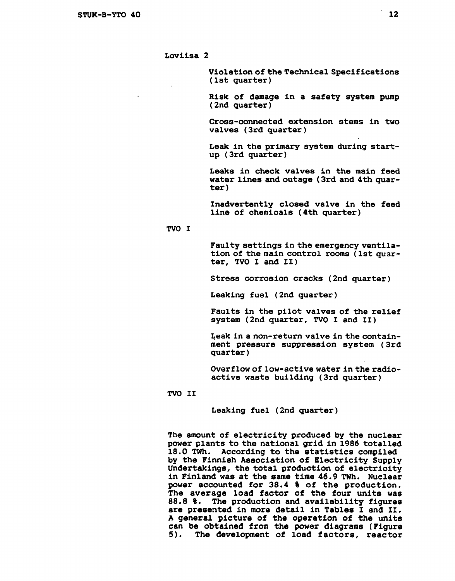**Loviisa 2** 

**Violation of the Technical Specifications (1st quarter)** 

**Risk of damage in a safety system pump (2nd quarter)** 

**Cross-connected extension stems in two valves (3rd quarter)** 

**Leak in the primary system during startup (3rd quarter)** 

**Leaks in check valves in the main feed water lines and outage (3rd and 4th quarter)** 

**Inadvertently closed valve in the feed line of chemicals (4th quarter)** 

# **TVO I**

**Faulty settings in the emergency ventilation of the main control rooms (1st quarter, TVO I and II)** 

**Stress corrosion cracks (2nd quarter)** 

**Leaking fuel (2nd quarter)** 

**Faults in the pilot valves of the relief system (2nd quarter, TVO I and II)** 

**Leak in a non-return valve in the containment pressure suppression system (3rd quarter)** 

**Overflow of low-active water in the radioactive waste building (3rd quarter)** 

### **TVO II**

**Leaking fuel (2nd quarter)** 

**The amount of electricity produced by the nuclear power plants to the national grid in 1986 totalled 18.0 TWh. According to the statistics compiled by the Finnish Association of Electricity Supply Undertakings, the total production of electricity in Finland was at the same time 46.9 TWh. Nuclear power accounted for 38.4 % of the production. The average load factor of the four units was 88.8 %. The production and availability figures are presented in more detail in Tables I and II. A general picture of the operation of the units can be obtained from the power diagrams (Figure 5). The development of load factors, reactor**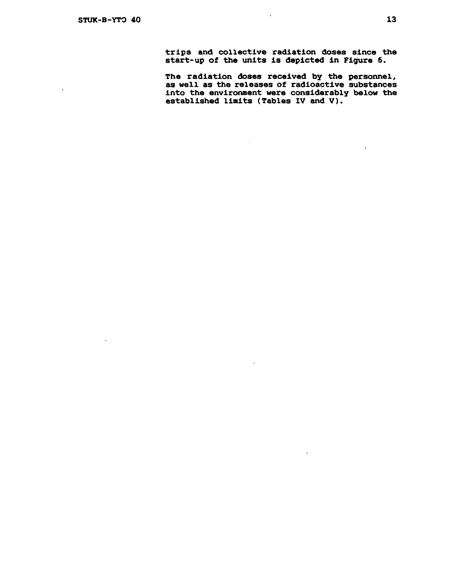$\ddot{\phantom{a}}$ 

 $\ddot{\phantom{a}}$ 

**trips and collective radiation doses since the start-up of the units is depicted in Figure 6.** 

**The radiation doses received by the personnel, as well as the releases of radioactive substances into the environment were considerably below the established limits (Tables IV and V).**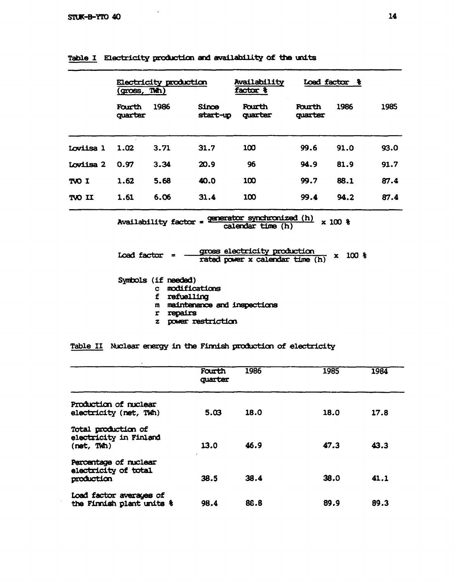$\sim$ 

|                                                                                      | Electricity production<br>(gross, Thh) |                                                                                   |                                                                   | Availability<br>$factor$ $\frac{1}{3}$                          |                   | Load factor &         |      |
|--------------------------------------------------------------------------------------|----------------------------------------|-----------------------------------------------------------------------------------|-------------------------------------------------------------------|-----------------------------------------------------------------|-------------------|-----------------------|------|
|                                                                                      | Fourth<br>quarter                      | 1986                                                                              | <b>Since</b><br>start-up                                          | Fourth<br>quarter                                               | Fourth<br>quarter | 1986                  | 1985 |
| <b>Loviisa 1</b>                                                                     | 1.02                                   | 3.71                                                                              | 31.7                                                              | 100                                                             | 99.6              | 91.0                  | 93.0 |
| Loviisa 2                                                                            | 0.97                                   | 3.34                                                                              | 20.9                                                              | 96                                                              | 94.9              | 81.9                  | 91.7 |
| TJ OVT                                                                               | 1.62                                   | 5.68                                                                              | 40.0                                                              | 100                                                             | 99.7              | 88.1                  | 87.4 |
| TVO II                                                                               | 1.61                                   | 6.06                                                                              | 31.4                                                              | 100                                                             | 99.4              | 94.2                  | 87.4 |
| Availability factor = generator synchronized (h)<br>$x 100$ $x$<br>calendar time (h) |                                        |                                                                                   |                                                                   |                                                                 |                   |                       |      |
|                                                                                      | Load factor $=$                        |                                                                                   |                                                                   | gross electricity production<br>rated power x calendar time (h) |                   | 100 <sub>8</sub><br>x |      |
|                                                                                      |                                        | Symbols (if needed)<br>$\mathbf{c}$<br>refuelling<br>f.<br>m<br>repairs<br>r<br>z | modifications<br>maintenance and inspections<br>power restriction |                                                                 |                   |                       |      |

|  |  | Table I Electricity production and availability of the units |  |  |
|--|--|--------------------------------------------------------------|--|--|
|  |  |                                                              |  |  |

**Table II Nuclear energy in the Finnish production of electricity** 

|                                                             | Fourth<br>quarter | 1986 | 1985 | 1984 |
|-------------------------------------------------------------|-------------------|------|------|------|
| Production of nuclear<br>electricity (net, TWh)             | 5.03              | 18.0 | 18.0 | 17.8 |
| Total production of<br>electricity in Finland<br>(net, TWh) | 13.0              | 46.9 | 47.3 | 43.3 |
| Percentage of nuclear<br>electricity of total<br>production | 38.5              | 38.4 | 38.0 | 41.1 |
| Load factor averages of<br>the Finnish plant units &        | 98.4              | 88.8 | 89.9 | 89.3 |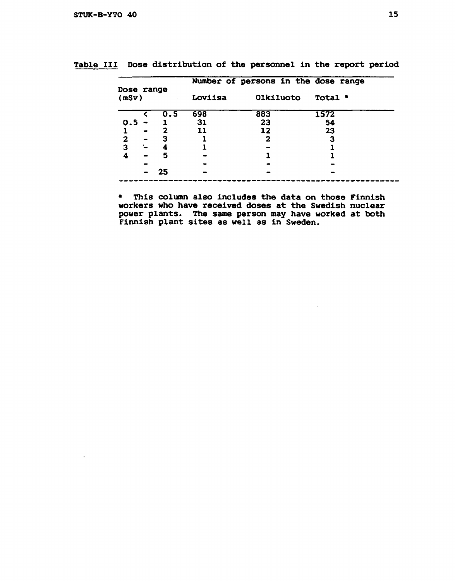$\ddot{\phantom{a}}$ 

|                     |   |     |         | Number of persons in the dose range |         |
|---------------------|---|-----|---------|-------------------------------------|---------|
| Dose range<br>(mSv) |   |     | Loviisa | Olkiluoto                           | Total . |
|                     |   | 0.5 | 698     | 883                                 | 1572    |
| 0.5                 |   |     | 31      | 23                                  | 54      |
|                     |   | 2   | 11      | 12                                  | 23      |
| $\mathbf{2}$        |   | з   |         | 2                                   | з       |
| 3                   | ∼ | 4   |         |                                     |         |
| A                   |   | 5   |         |                                     |         |
|                     |   |     |         |                                     |         |
|                     |   | 25  |         |                                     |         |
|                     |   |     |         |                                     |         |

**Table III Dose distribution of the personnel in the report period** 

**\* This column also includes the data on those Finnish workers who have received doses at the Swedish nuclear power plants. The same person may have worked at both Finnish plant sites as well as in Sweden.**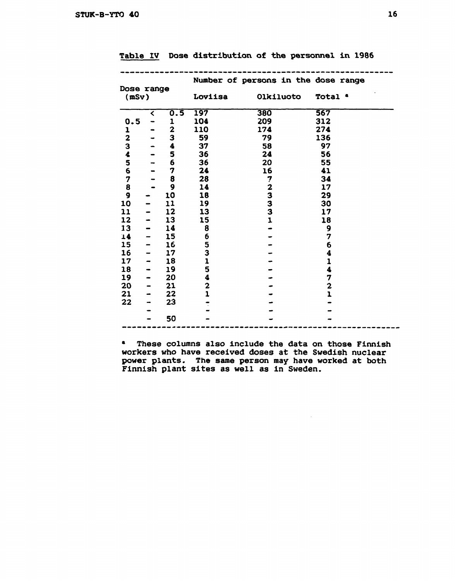|                         |                      |                  |               | Number of persons in the dose range |                |
|-------------------------|----------------------|------------------|---------------|-------------------------------------|----------------|
| Dose range<br>(mSv)     |                      |                  | Loviisa       | Olkiluoto                           | Total .        |
|                         | $\blacktriangleleft$ | 0.5              | 197           | 380                                 | 567            |
| 0.5                     |                      | 1                | 104           | 209                                 | 312            |
| 1                       | $\bullet$            | $\boldsymbol{2}$ | 110           | 174                                 | 274            |
| $\overline{\mathbf{2}}$ |                      | 3                | 59            | 79                                  | 136            |
| 3                       |                      | 4                | 37            | 58                                  | 97             |
| 4                       |                      | 5                | 36            | 24                                  | 56             |
| 5                       |                      | 6                | 36            | 20                                  | 55             |
| 6                       |                      | 7                | 24            | 16                                  | 41             |
| $\boldsymbol{7}$        |                      | 8                | 28            |                                     | 34             |
| 8                       |                      | 9                | 14            | フィスコ                                | 17             |
| 9                       |                      | 10               | 18            |                                     | 29             |
| 10                      |                      | 11               | 19            |                                     | 30             |
| 11                      |                      | 12               | 13            | 3                                   | 17             |
| 12                      |                      | 13               | 15            | $\mathbf{1}$                        | 18             |
| 13                      |                      | 14               | 8             |                                     | 9              |
| 14                      |                      | 15               | 6             |                                     | 7              |
| 15                      |                      | 16               | 5             |                                     | 6              |
| 16                      |                      | 17               | $\frac{3}{1}$ |                                     | 4              |
| 17                      |                      | 18               |               |                                     | $\mathbf{1}$   |
| 18                      | -                    | 19               | 5             |                                     | 4              |
| 19                      |                      | 20               | 4             |                                     | 7              |
| 20                      |                      | 21               | 2             |                                     | $\overline{a}$ |
| 21                      |                      | 22               | $\mathbf{1}$  |                                     | $\overline{1}$ |
| 22                      |                      | 23               |               |                                     |                |
|                         |                      |                  |               |                                     |                |
|                         |                      | 50               |               |                                     |                |

**Table IV Dose distribution of the personnel in 1986** 

**\* These columns also include the data on those Finnish workers who have received doses at the Swedish nuclear power plants. The same person may have worked at both Finnish plant sites as well as in Sweden.**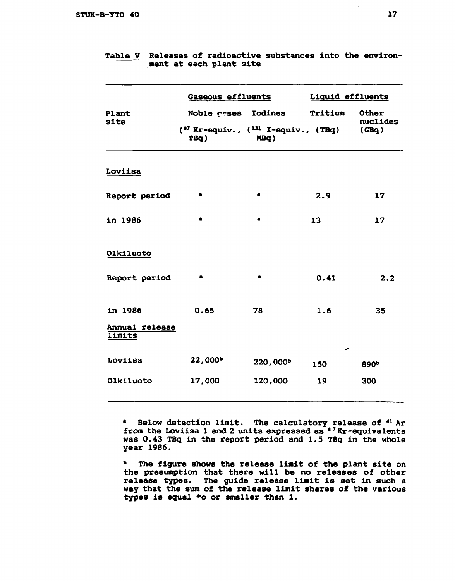|                           | Gaseous effluents                                                              |           |         | Liquid effluents           |  |  |
|---------------------------|--------------------------------------------------------------------------------|-----------|---------|----------------------------|--|--|
| Plant<br>site             | Noble gases Iodines<br>$(^{87}$ Kr-equiv., $(^{131}$ I-equiv., $(TBq)$<br>TBq) | MBq)      | Tritium | Other<br>nuclides<br>(GBq) |  |  |
| Loviisa                   |                                                                                |           |         |                            |  |  |
| Report period             |                                                                                | ٠         | 2.9     | 17                         |  |  |
| in 1986                   | ٠                                                                              | $\bullet$ | 13      | 17                         |  |  |
| Olkiluoto                 |                                                                                |           |         |                            |  |  |
| Report period             | a                                                                              | $\bullet$ | 0.41    | 2.2                        |  |  |
| in 1986<br>Annual release | 0.65                                                                           | 78        | 1.6     | 35                         |  |  |
| limits                    |                                                                                |           |         |                            |  |  |
| Loviisa                   | 22,000 <sup>b</sup>                                                            | 220,000b  | 150     | 890 <sup>b</sup>           |  |  |
| Olkiluoto                 | 17,000                                                                         | 120,000   | 19      | 300                        |  |  |

# **Table V Releases of radioactive substances into the environment at each plant site**

**\* Below detection limit. The calculatory release of <sup>41</sup> Ar from the Loviisa 1 and 2 units expressed as 8 7 Kr-equivalents was 0.43 TBq in the report period and 1.5 TBq in the whole year 1986.** 

**<sup>b</sup> The figure shows the release limit of the plant site on the presumption that there will be no releases of other release types. The guide release limit is set in such a way that the sum of the release limit shares of the various types is equal \*o or smaller than 1.**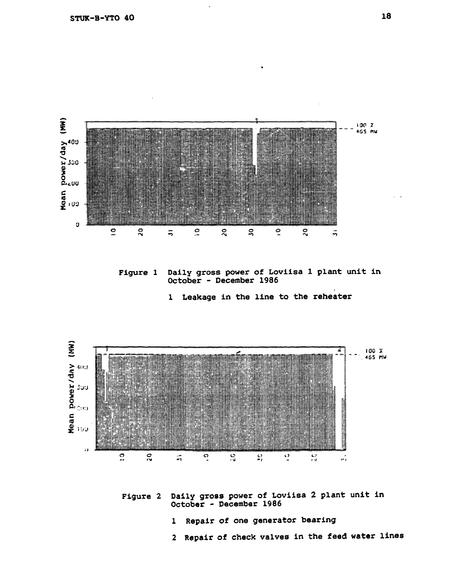

**Figure 1 Daily gross power of Loviisa 1 plant unit in October - December 1986** 

**1 Leakage in the line to the reheater** 



**Figure 2 Daily gross power of Loviisa 2 plant unit in October - December 1986** 

- **1 Repair of one generator bearing**
- **2 Repair of check valves in the feed water lines**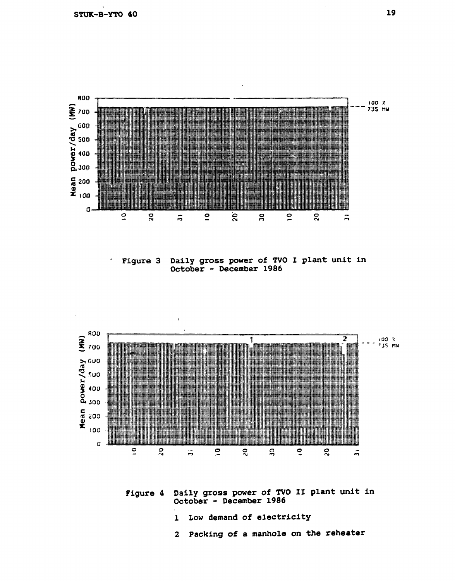

**Figure 3 Daily gross power of TVO I plant unit in October - December 1986** 



**Figure 4 Daily gross power of TVO II plant unit in October - December 1986** 

- **1 Low demand of electricity**
- **2 Packing of a manhole on the reheater**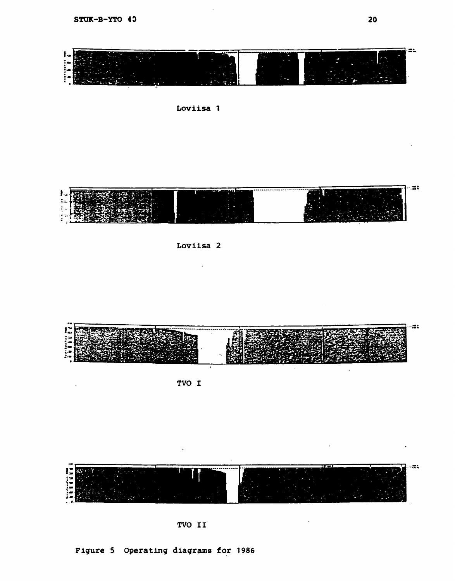$\ddot{\phantom{a}}$ 









 $\ddot{\phantom{0}}$ 



**TVO I** 



**TVO II** 

**Figure 5 Operating diagrams for 1986** 

 $\cdot$